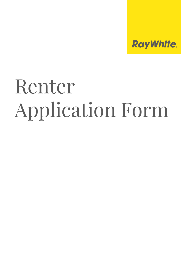

# Renter Application Form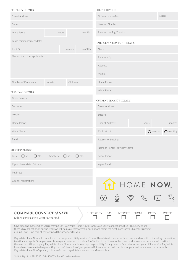# PROPERTY DETAILS

| Street Address:                                                                                                                                                    |          |                    | Drivers License No:                   |          | State:                         |
|--------------------------------------------------------------------------------------------------------------------------------------------------------------------|----------|--------------------|---------------------------------------|----------|--------------------------------|
| Suburb:                                                                                                                                                            |          |                    | Passport Number:                      |          |                                |
| Lease Term:                                                                                                                                                        | years    | months             | Passport Issuing Country:             |          |                                |
| Lease commencement date:                                                                                                                                           |          |                    | EMERGENCY CONTACT DETAILS             |          |                                |
| Rent: \$                                                                                                                                                           |          | monthly<br>weekly  | Name:                                 |          |                                |
| Names of all other applicants:                                                                                                                                     |          |                    | Relationship:                         |          |                                |
|                                                                                                                                                                    |          |                    | Address:                              |          |                                |
|                                                                                                                                                                    |          |                    | Mobile:                               |          |                                |
| Number of Occupants                                                                                                                                                | Adults:  | Children:          | Home Phone:                           |          |                                |
| PERSONAL DETAILS                                                                                                                                                   |          |                    | Work Phone:                           |          |                                |
| Given name(s):                                                                                                                                                     |          |                    | <b>CURRENT TENANCY DETAILS</b>        |          |                                |
| Surname:                                                                                                                                                           |          |                    | Street Address:                       |          |                                |
| Mobile:                                                                                                                                                            |          |                    | Suburb:                               |          |                                |
| Home Phone:                                                                                                                                                        |          |                    | Time at Address:                      | years    | months                         |
| Work Phone:                                                                                                                                                        |          |                    | Rent paid: \$                         | O weekly | $\bigcirc$ monthly             |
| Email:                                                                                                                                                             |          |                    | Reason for Leaving:                   |          |                                |
| ADDITIONAL INFO                                                                                                                                                    |          |                    | Name of Renter Provider/Agent:        |          |                                |
| $O$ Yes: $O$ No:<br>Pets:                                                                                                                                          | Smokers: | O Yes: O No:       | Agent Phone:                          |          |                                |
| If yes, please state: Pet type:                                                                                                                                    |          |                    | Agent Email:                          |          |                                |
| Pet breed:                                                                                                                                                         |          |                    |                                       |          |                                |
| Council registration:                                                                                                                                              |          |                    |                                       |          |                                |
|                                                                                                                                                                    |          |                    |                                       | HOME NOW |                                |
|                                                                                                                                                                    |          |                    | $\left\langle \uparrow \right\rangle$ |          | $\frac{5}{2}$<br>$\frac{1}{2}$ |
| <b>COMPARE, CONNECT &amp; SAVE</b><br><b>ELECTRICITY</b><br>GAS<br><b>INTERNET</b><br><b>PHONE</b><br>PAY TV<br><b>WATER</b><br>Select services you want connected |          |                    |                                       |          |                                |
|                                                                                                                                                                    |          | $A + D_2(A/b) + 1$ | $H \circ \circ \Box$                  |          |                                |

IDENTIFICATION

Save time and money when you're moving. Let Ray White Home Now arrange your utility connections. It's a FREE service and there's NO obligation. In one brief call we will help you compare your options and select the right plans for you. No more running around – we'll take care of contacting all the providers for you.

Ray White Home Now will contact you to arrange your utility services. You will be advised of any associated terms and conditions, including connection fees that may apply. Once you have chosen your preferred providers, Ray White Home Now may then need to disclose your personal information to the selected utility company. Ray White Home Now is unable to accept responsibility for any delay or failure to connect your utility service. Ray White Home Now is committed to protecting the confi dentiality of your personal information and will handle your personal details in accordance with Ray White Home Now's privacy policy available at raywhitehomenow.com/privacy-policy

# Split It Pty Ltd ABN 83151244558 T/A Ray White Home Now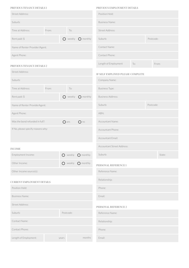### PREVIOUS TENANCY DETAILS 1

| Street Address:                |       |                   |                                      |  |
|--------------------------------|-------|-------------------|--------------------------------------|--|
| Suburb:                        |       |                   |                                      |  |
| Time at Address:               | From: | $\overline{1}$ o: |                                      |  |
| Rent paid: \$                  |       |                   | $\bigcirc$ weekly $\bigcirc$ monthly |  |
| Name of Renter Provider/Agent: |       |                   |                                      |  |
| Agent Phone:                   |       |                   |                                      |  |

Rent paid: \$ Weekly monthly

Was the bond refunded in full?:  $\bigcirc$  yes  $\bigcirc$  no

## PREVIOUS TENANCY DET.

Name of Renter ProviderAgent:

If No, please specify reasons why:

Street Address:

Time at Address:

Agent Phone:

INCOME

Employment Income:

Other Income source(s):

CURRENT EMPLOYMENT DETAILS

Other Income:

Suburb:

| Agent: |       |     | Contact Name:                    |     |       |
|--------|-------|-----|----------------------------------|-----|-------|
|        |       |     | Contact Phone:                   |     |       |
| AILS 2 |       |     | Length of Employment             | To: | From: |
|        |       |     | IF SELF EMPLOYED PLEASE COMPLETE |     |       |
|        |       |     | Company Name:                    |     |       |
|        | From: | To: | <b>Business Type:</b>            |     |       |

PREVIOUS EMPLOYMENT DETAILS

Suburb: Postcode:

Position Held:

Business Name:

Street Address:

Business Address:

Suburb: Postcode:

ABN:

Accountant Name:

Accountant Phone:

Accountant Email:

Accountant Street Address:

Suburb: Suburb: State: State: State: State: State: State: State: State: State: State: State: State: State: State: State: State: State: State: State: State: State: State: State: State: State: State: State: State: State: Sta

# PERSONAL REFERENCE 1

Reference Name:

Relationship:

Phone:

Email:

# PERSONAL REFERENCE 2

Reference Name:

Relationship:

Phone:

Email:

Business Name:

Position Held:

Street Address:

Suburb: Postcode:

Contact Name:

Contact Phone:

Length of Employment: example of the sears and the sears in the months

| years |  |
|-------|--|

O weekly O monthly

O weekly O monthly